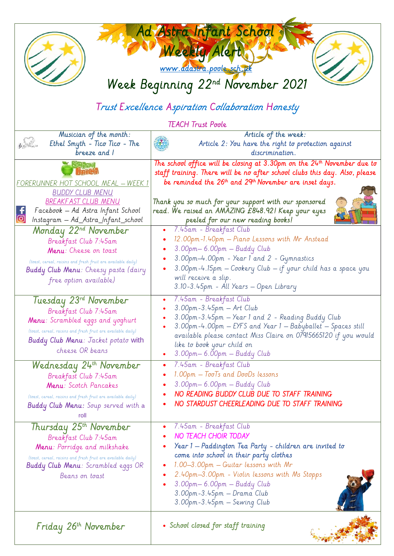| Ad Astra Infant School<br>Weekly Alert<br>www.adastra.poole.sch.uk<br>Week Beginning 22nd November 2021<br>Trust Excellence Aspiration Collaboration Honesty                                                                 |                                                                                                                                                                                                                                                                                                                                                                                                  |
|------------------------------------------------------------------------------------------------------------------------------------------------------------------------------------------------------------------------------|--------------------------------------------------------------------------------------------------------------------------------------------------------------------------------------------------------------------------------------------------------------------------------------------------------------------------------------------------------------------------------------------------|
|                                                                                                                                                                                                                              | <b>TEACH Trust Poole</b>                                                                                                                                                                                                                                                                                                                                                                         |
| Musician of the month:<br>$6 - \frac{1}{2}$<br>Ethel Smyth - $Tic\sigma$ $Tic\sigma$ - $The$<br>breeze and I                                                                                                                 | Article of the week:<br>Article 2: You have the right to protection against<br>discrimination.                                                                                                                                                                                                                                                                                                   |
| FORERUNNER HOT SCHOOL MEAL - WEEK 1<br><b>BUDDY CLUB MENU</b><br><b>BREAKFAST CLUB MENU</b><br>Facebook - Ad Astra Infant School<br>ග<br>Instagram — Ad_Astra_Infant_school                                                  | The school office will be closing at $3.30$ pm on the $24th$ November due to<br>staff training. There will be no after school clubs this day. Also, please<br>be reminded the 26 <sup>th</sup> and 29 <sup>th</sup> November are inset days.<br>Thank you so much for your support with our sponsored<br>read. We raised an AMAZING £848.92! Keep your eyes<br>peeled for our new reading books! |
| Monday 22 <sup>nd</sup> November<br>Breakfast Club 7:45am<br>Menu: Cheese on toast<br>(toast, cereal, raisins and fresh fruit are available daily)<br><b>Buddy Club Menu</b> : Cheesy pasta (dairy<br>free option available) | 7.45am - Breakfast Club<br>12.00pm-1.40pm - Piano Lessons with Mr Anstead<br>3.00pm-6.00pm - Buddy Club<br>3.00pm-4.00pm - Year 1 and 2 - Gymnastics<br>3.00pm-4.15pm - Cookery Club - if your child has a space you<br>will receive a slip.<br>3.10-3.45pm - All Years - Open Library                                                                                                           |
| Tuesday 23rd November<br>Breakfast Club 7:45am<br>Menu: Scrambled eggs and yoghurt<br>(toast, cereal, raisins and fresh fruit are available daily)<br><b>Buddy Club Menu</b> : Jacket potato with<br>cheese OR beans         | 7.45am - Breakfast Club<br>$3.00$ pm- $3.45$ pm - Art Club<br>3.00pm-3.45pm - Year 1 and 2 - Reading Buddy Club<br>3.00pm-4.00pm - EYFS and Year 1 - Babyballet - Spaces still<br>available please contact Miss Claire on 07915665120 if you would<br>like to book your child on<br>3.00pm - 6.00pm - Buddy Club                                                                                 |
| Wednesday 24 <sup>th</sup> November<br>Breakfast Club 7:45am<br>Menu: Scotch Pancakes<br>(toast, cereal, raisins and fresh fruit are available daily)<br><b>Buddy Club Menu:</b> Soup served with a<br>roll                  | 7.45am - Breakfast Club<br>٠<br>1.00pm - TooTs and DooDs lessons<br>3.00pm-6.00pm - Buddy Club<br>NO READING BUDDY CLUB DUE TO STAFF TRAINING<br>NO STARDUST CHEERLEADING DUE TO STAFF TRAINING                                                                                                                                                                                                  |
| Thursday 25th November<br>Breakfast Club 7:45am<br>Menu: Porridge and milkshake<br>(toast, cereal, raisins and fresh fruit are available daily)<br><b>Buddy Club Menu</b> : Scrambled eggs OR<br>Beans on toast              | 7.45am - Breakfast Club<br>NO TEACH CHOIR TODAY<br>Year 1 - Paddington Tea Party - children are invited to<br>come into school in their party clothes<br>1.00–3.00pm – Guitar lessons with Mr<br>2.40pm-3.00pm - Violin lessons with Ms Stopps<br>3.00pm-6.00pm - Buddy Club<br>3.00pm-3.45pm - Drama Club<br>3.00pm-3.45pm — Sewing Club                                                        |
| Friday 26th November                                                                                                                                                                                                         | • School closed for staff training                                                                                                                                                                                                                                                                                                                                                               |